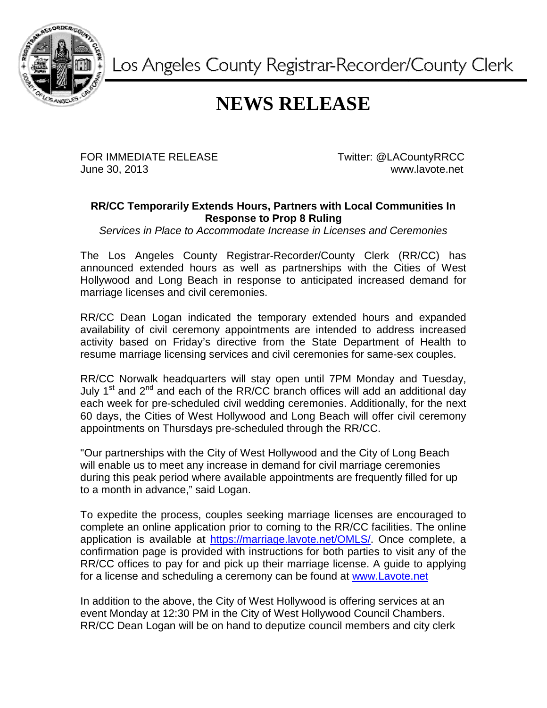

Los Angeles County Registrar-Recorder/County Clerk

## **NEWS RELEASE**

FOR IMMEDIATE RELEASE June 30, 2013

Twitter: @LACountyRRCC www.lavote.net www.lavote.net

## **RR/CC Temporarily Extends Hours, Partners with Local Communities In Response to Prop 8 Ruling**

Services in Place to Accommodate Increase in Licenses and Ceremonies

The Los Angeles County Registrar-Recorder/County Clerk (RR/CC) has announced extended hours as well as partnerships with the Cities of West Hollywood and Long Beach in response to anticipated increased demand for marriage licenses and civil ceremonies.

RR/CC Dean Logan indicated the temporary extended hours and expanded RR/CC Dean Logan indicated the temporary extended hours and expanded<br>availability of civil ceremony appointments are intended to address increased activity based on Friday's directive from the State Department of Health to activity based on Friday's directive from the State Department of Health<br>resume marriage licensing services and civil ceremonies for same-sex couples. availability of civil ceremony appointments are intended to address increased<br>activity based on Friday's directive from the State Department of Health to<br>resume marriage licensing services and civil ceremonies for same-sex

RR/CC Norwalk headquarters will stay open until 7PM Monday and Tuesday, each week for pre-scheduled civil wedding ceremonies. Additionally, for the next 60 days, the Cities of West Hollywood and Long Beach will offer civil ceremony appointments on Thursdays pre-scheduled through the RR/CC.

"Our partnerships with the City of West Hollywood and the City of Long Beach will enable us to meet any increase in demand for civil marriage ceremonies "Our partnerships with the City of West Hollywood and the City of Long Beach<br>will enable us to meet any increase in demand for civil marriage ceremonies<br>during this peak period where available appointments are frequently f to a month in advance," said Logan.

To expedite the process, couples seeking marriage licenses are encouraged to complete an online application prior to coming to the RR/CC facilities. facilities. The online complete an online application prior to coming to the RR/CC facilities. The online<br>application is available at https://marriage.lavote.net/OMLS/. Once complete, a confirmation page is provided with instructions for both parties to visit any of the confirmation page is provided with instructions for both parties to visit any of the<br>RR/CC offices to pay for and pick up their marriage license. A guide to applying RR/CC offices to pay for and pick up their marriage license. A guide to a<br>for a license and scheduling a ceremony can be found at <u>www.Lavote.net</u>

In addition to the above, the City of West Hollywood is offering services at an event Monday at 12:30 PM in the City of West Hollywood Council Chambers. event Monday at 12:30 PM in the City of West Hollywood Council Chambers.<br>RR/CC Dean Logan will be on hand to deputize council members and city clerk